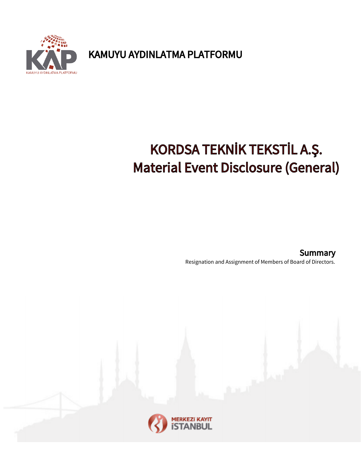**YOINLATMA PLATFORMU** 

KAMUYU AYDINLATMA PLATFORMU

## KORDSA TEKNİK TEKSTİL A.Ş. Material Event Disclosure (General)

Resignation and Assignment of Members of Board of Directors. **Summary**